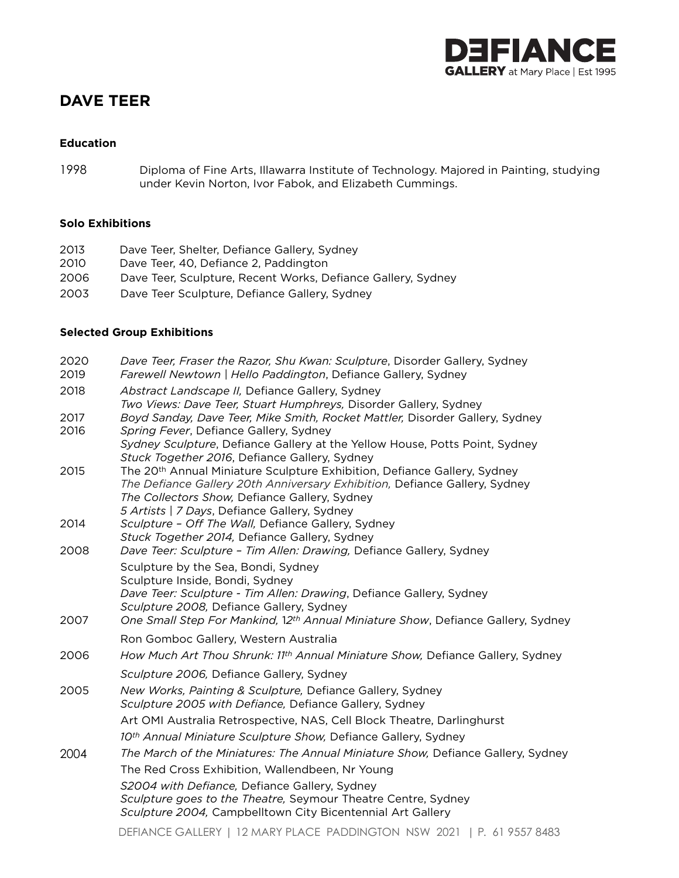

# **DAVE TEER**

### **Education**

1998 Diploma of Fine Arts, Illawarra Institute of Technology. Majored in Painting, studying under Kevin Norton, Ivor Fabok, and Elizabeth Cummings.

### **Solo Exhibitions**

| 2013 | Dave Teer, Shelter, Defiance Gallery, Sydney                 |
|------|--------------------------------------------------------------|
| 2010 | Dave Teer, 40. Defiance 2. Paddington                        |
| 2006 | Dave Teer, Sculpture, Recent Works, Defiance Gallery, Sydney |
| 2003 | Dave Teer Sculpture, Defiance Gallery, Sydney                |

### **Selected Group Exhibitions**

| 2020         | Dave Teer, Fraser the Razor, Shu Kwan: Sculpture, Disorder Gallery, Sydney                                                                                                                                                                                          |
|--------------|---------------------------------------------------------------------------------------------------------------------------------------------------------------------------------------------------------------------------------------------------------------------|
| 2019         | Farewell Newtown   Hello Paddington, Defiance Gallery, Sydney                                                                                                                                                                                                       |
| 2018         | Abstract Landscape II, Defiance Gallery, Sydney                                                                                                                                                                                                                     |
|              | Two Views: Dave Teer, Stuart Humphreys, Disorder Gallery, Sydney                                                                                                                                                                                                    |
| 2017<br>2016 | Boyd Sanday, Dave Teer, Mike Smith, Rocket Mattler, Disorder Gallery, Sydney<br>Spring Fever, Defiance Gallery, Sydney                                                                                                                                              |
|              | Sydney Sculpture, Defiance Gallery at the Yellow House, Potts Point, Sydney<br>Stuck Together 2016, Defiance Gallery, Sydney                                                                                                                                        |
| 2015         | The 20 <sup>th</sup> Annual Miniature Sculpture Exhibition, Defiance Gallery, Sydney<br>The Defiance Gallery 20th Anniversary Exhibition, Defiance Gallery, Sydney<br>The Collectors Show, Defiance Gallery, Sydney<br>5 Artists   7 Days, Defiance Gallery, Sydney |
| 2014         | Sculpture - Off The Wall, Defiance Gallery, Sydney<br>Stuck Together 2014, Defiance Gallery, Sydney                                                                                                                                                                 |
| 2008         | Dave Teer: Sculpture - Tim Allen: Drawing, Defiance Gallery, Sydney                                                                                                                                                                                                 |
|              | Sculpture by the Sea, Bondi, Sydney<br>Sculpture Inside, Bondi, Sydney<br>Dave Teer: Sculpture - Tim Allen: Drawing, Defiance Gallery, Sydney<br>Sculpture 2008, Defiance Gallery, Sydney                                                                           |
| 2007         | One Small Step For Mankind, 12th Annual Miniature Show, Defiance Gallery, Sydney                                                                                                                                                                                    |
|              | Ron Gomboc Gallery, Western Australia                                                                                                                                                                                                                               |
| 2006         | How Much Art Thou Shrunk: 11th Annual Miniature Show, Defiance Gallery, Sydney                                                                                                                                                                                      |
|              | Sculpture 2006, Defiance Gallery, Sydney                                                                                                                                                                                                                            |
| 2005         | New Works, Painting & Sculpture, Defiance Gallery, Sydney<br>Sculpture 2005 with Defiance, Defiance Gallery, Sydney                                                                                                                                                 |
|              | Art OMI Australia Retrospective, NAS, Cell Block Theatre, Darlinghurst                                                                                                                                                                                              |
|              | 10th Annual Miniature Sculpture Show, Defiance Gallery, Sydney                                                                                                                                                                                                      |
| 2004         | The March of the Miniatures: The Annual Miniature Show, Defiance Gallery, Sydney                                                                                                                                                                                    |
|              | The Red Cross Exhibition, Wallendbeen, Nr Young                                                                                                                                                                                                                     |
|              | S2004 with Defiance, Defiance Gallery, Sydney<br>Sculpture goes to the Theatre, Seymour Theatre Centre, Sydney<br>Sculpture 2004, Campbelltown City Bicentennial Art Gallery                                                                                        |
|              | $DFT(1)$ $QF$ $Q$ $I$ $I$ $FQ$ $I$ $I$ $Q$ $I$ $I$ $I$ $Q$ $I$ $I$ $Q$ $I$ $Q$ $I$ $Q$ $I$ $Q$ $I$ $I$ $I$ $Q$ $I$ $I$ $I$ $I$ $Q$ $I$ $I$ $I$ $I$ $Q$ $I$ $I$ $I$ $I$ $Q$ $I$ $I$ $I$ $I$ $Q$ $I$ $I$ $I$ $I$ $I$ $I$ $I$ $I$                                      |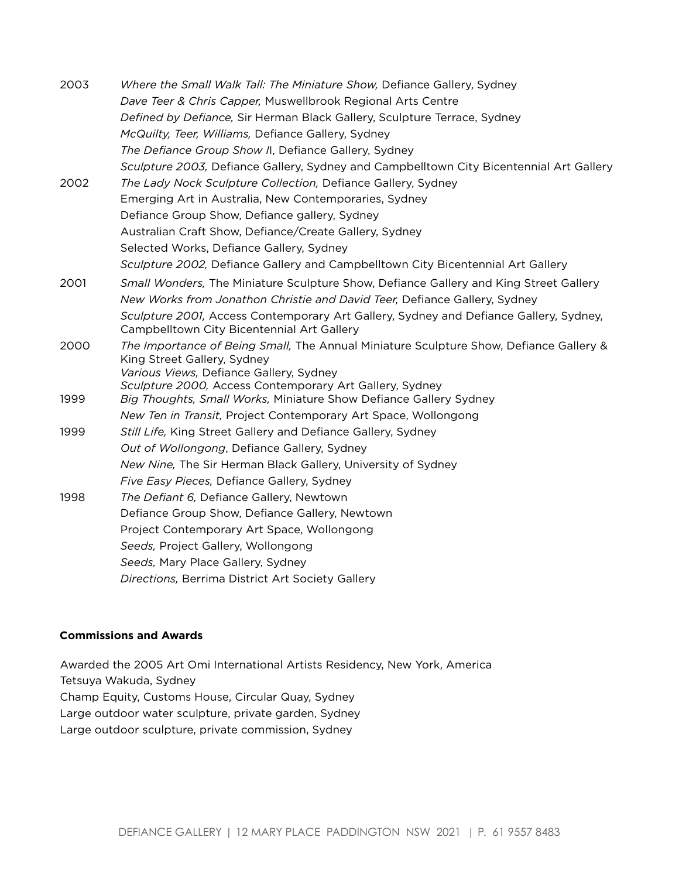| 2003 | Where the Small Walk Tall: The Miniature Show, Defiance Gallery, Sydney                                                             |
|------|-------------------------------------------------------------------------------------------------------------------------------------|
|      | Dave Teer & Chris Capper, Muswellbrook Regional Arts Centre                                                                         |
|      | Defined by Defiance, Sir Herman Black Gallery, Sculpture Terrace, Sydney                                                            |
|      | McQuilty, Teer, Williams, Defiance Gallery, Sydney                                                                                  |
|      | The Defiance Group Show II, Defiance Gallery, Sydney                                                                                |
|      | Sculpture 2003, Defiance Gallery, Sydney and Campbelltown City Bicentennial Art Gallery                                             |
| 2002 | The Lady Nock Sculpture Collection, Defiance Gallery, Sydney                                                                        |
|      | Emerging Art in Australia, New Contemporaries, Sydney                                                                               |
|      | Defiance Group Show, Defiance gallery, Sydney                                                                                       |
|      | Australian Craft Show, Defiance/Create Gallery, Sydney                                                                              |
|      | Selected Works, Defiance Gallery, Sydney                                                                                            |
|      | Sculpture 2002, Defiance Gallery and Campbelltown City Bicentennial Art Gallery                                                     |
| 2001 | Small Wonders, The Miniature Sculpture Show, Defiance Gallery and King Street Gallery                                               |
|      | New Works from Jonathon Christie and David Teer, Defiance Gallery, Sydney                                                           |
|      | Sculpture 2001, Access Contemporary Art Gallery, Sydney and Defiance Gallery, Sydney,<br>Campbelltown City Bicentennial Art Gallery |
| 2000 | The Importance of Being Small, The Annual Miniature Sculpture Show, Defiance Gallery &<br>King Street Gallery, Sydney               |
|      | Various Views, Defiance Gallery, Sydney                                                                                             |
| 1999 | Sculpture 2000, Access Contemporary Art Gallery, Sydney<br>Big Thoughts, Small Works, Miniature Show Defiance Gallery Sydney        |
|      | New Ten in Transit, Project Contemporary Art Space, Wollongong                                                                      |
| 1999 | Still Life, King Street Gallery and Defiance Gallery, Sydney                                                                        |
|      | Out of Wollongong, Defiance Gallery, Sydney                                                                                         |
|      | New Nine, The Sir Herman Black Gallery, University of Sydney                                                                        |
|      | Five Easy Pieces, Defiance Gallery, Sydney                                                                                          |
| 1998 | The Defiant 6, Defiance Gallery, Newtown                                                                                            |
|      | Defiance Group Show, Defiance Gallery, Newtown                                                                                      |
|      | Project Contemporary Art Space, Wollongong                                                                                          |
|      | Seeds, Project Gallery, Wollongong                                                                                                  |
|      | Seeds, Mary Place Gallery, Sydney                                                                                                   |
|      | Directions, Berrima District Art Society Gallery                                                                                    |

### **Commissions and Awards**

Awarded the 2005 Art Omi International Artists Residency, New York, America Tetsuya Wakuda, Sydney Champ Equity, Customs House, Circular Quay, Sydney Large outdoor water sculpture, private garden, Sydney Large outdoor sculpture, private commission, Sydney